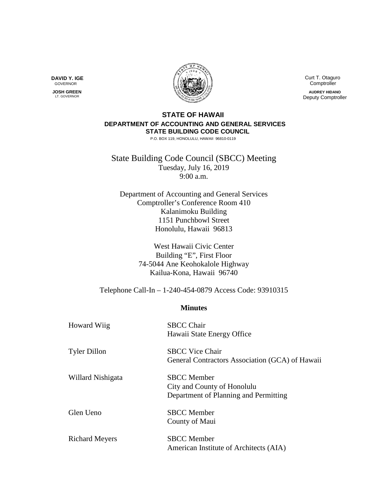**DAVID Y. IGE** GOVERNOR

 **JOSH GREEN** LT. GOVERNOR



 Curt T. Otaguro **Comptroller** 

**AUDREY HIDANO** Deputy Comptroller

## **STATE OF HAWAII DEPARTMENT OF ACCOUNTING AND GENERAL SERVICES STATE BUILDING CODE COUNCIL**

P.O. BOX 119, HONOLULU, HAWAII 96810-0119

State Building Code Council (SBCC) Meeting Tuesday, July 16, 2019 9:00 a.m.

Department of Accounting and General Services Comptroller's Conference Room 410 Kalanimoku Building 1151 Punchbowl Street Honolulu, Hawaii 96813

> West Hawaii Civic Center Building "E", First Floor 74-5044 Ane Keohokalole Highway Kailua-Kona, Hawaii 96740

Telephone Call-In – 1-240-454-0879 Access Code: 93910315

## **Minutes**

| <b>Howard Wiig</b>    | <b>SBCC Chair</b><br>Hawaii State Energy Office                                            |
|-----------------------|--------------------------------------------------------------------------------------------|
| <b>Tyler Dillon</b>   | <b>SBCC Vice Chair</b><br>General Contractors Association (GCA) of Hawaii                  |
| Willard Nishigata     | <b>SBCC</b> Member<br>City and County of Honolulu<br>Department of Planning and Permitting |
| Glen Ueno             | <b>SBCC</b> Member<br>County of Maui                                                       |
| <b>Richard Meyers</b> | <b>SBCC</b> Member<br>American Institute of Architects (AIA)                               |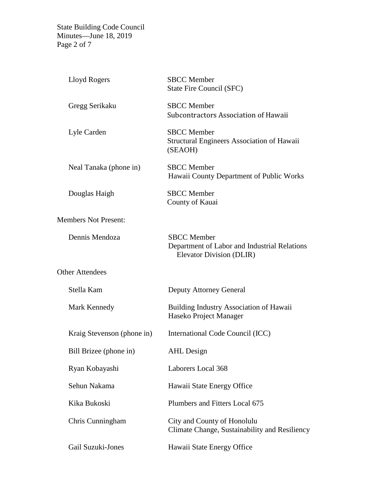State Building Code Council Minutes—June 18, 2019 Page 2 of 7

| Lloyd Rogers                | <b>SBCC</b> Member<br>State Fire Council (SFC)                                                 |
|-----------------------------|------------------------------------------------------------------------------------------------|
| Gregg Serikaku              | <b>SBCC</b> Member<br>Subcontractors Association of Hawaii                                     |
| Lyle Carden                 | <b>SBCC</b> Member<br>Structural Engineers Association of Hawaii<br>(SEAOH)                    |
| Neal Tanaka (phone in)      | <b>SBCC</b> Member<br>Hawaii County Department of Public Works                                 |
| Douglas Haigh               | <b>SBCC</b> Member<br>County of Kauai                                                          |
| <b>Members Not Present:</b> |                                                                                                |
| Dennis Mendoza              | <b>SBCC</b> Member<br>Department of Labor and Industrial Relations<br>Elevator Division (DLIR) |
| <b>Other Attendees</b>      |                                                                                                |
| Stella Kam                  | <b>Deputy Attorney General</b>                                                                 |
| Mark Kennedy                | <b>Building Industry Association of Hawaii</b><br>Haseko Project Manager                       |
| Kraig Stevenson (phone in)  | International Code Council (ICC)                                                               |
| Bill Brizee (phone in)      | <b>AHL</b> Design                                                                              |
| Ryan Kobayashi              | Laborers Local 368                                                                             |
| Sehun Nakama                | Hawaii State Energy Office                                                                     |
| Kika Bukoski                | Plumbers and Fitters Local 675                                                                 |
| Chris Cunningham            | City and County of Honolulu<br>Climate Change, Sustainability and Resiliency                   |
|                             |                                                                                                |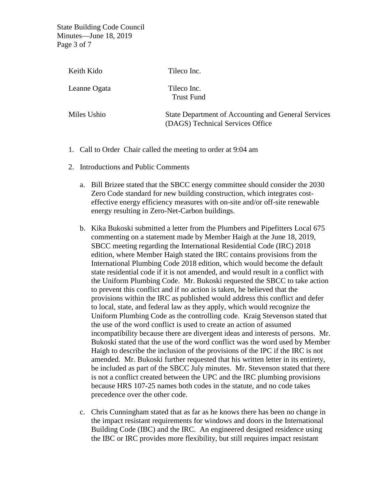State Building Code Council Minutes—June 18, 2019 Page 3 of 7

| Keith Kido   | Tileco Inc.                                                                             |
|--------------|-----------------------------------------------------------------------------------------|
| Leanne Ogata | Tileco Inc.<br><b>Trust Fund</b>                                                        |
| Miles Ushio  | State Department of Accounting and General Services<br>(DAGS) Technical Services Office |

- 1. Call to Order Chair called the meeting to order at 9:04 am
- 2. Introductions and Public Comments
	- a. Bill Brizee stated that the SBCC energy committee should consider the 2030 Zero Code standard for new building construction, which integrates costeffective energy efficiency measures with on-site and/or off-site renewable energy resulting in Zero-Net-Carbon buildings.
	- b. Kika Bukoski submitted a letter from the Plumbers and Pipefitters Local 675 commenting on a statement made by Member Haigh at the June 18, 2019, SBCC meeting regarding the International Residential Code (IRC) 2018 edition, where Member Haigh stated the IRC contains provisions from the International Plumbing Code 2018 edition, which would become the default state residential code if it is not amended, and would result in a conflict with the Uniform Plumbing Code. Mr. Bukoski requested the SBCC to take action to prevent this conflict and if no action is taken, he believed that the provisions within the IRC as published would address this conflict and defer to local, state, and federal law as they apply, which would recognize the Uniform Plumbing Code as the controlling code. Kraig Stevenson stated that the use of the word conflict is used to create an action of assumed incompatibility because there are divergent ideas and interests of persons. Mr. Bukoski stated that the use of the word conflict was the word used by Member Haigh to describe the inclusion of the provisions of the IPC if the IRC is not amended. Mr. Bukoski further requested that his written letter in its entirety, be included as part of the SBCC July minutes. Mr. Stevenson stated that there is not a conflict created between the UPC and the IRC plumbing provisions because HRS 107-25 names both codes in the statute, and no code takes precedence over the other code.
	- c. Chris Cunningham stated that as far as he knows there has been no change in the impact resistant requirements for windows and doors in the International Building Code (IBC) and the IRC. An engineered designed residence using the IBC or IRC provides more flexibility, but still requires impact resistant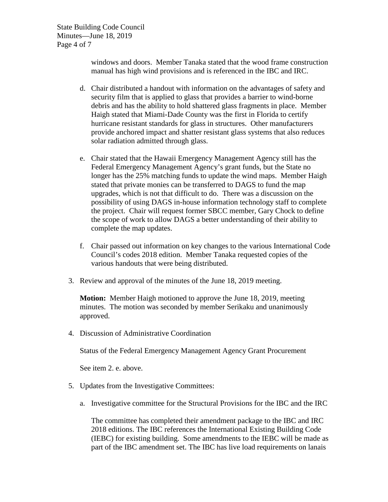State Building Code Council Minutes—June 18, 2019 Page 4 of 7

> windows and doors. Member Tanaka stated that the wood frame construction manual has high wind provisions and is referenced in the IBC and IRC.

- d. Chair distributed a handout with information on the advantages of safety and security film that is applied to glass that provides a barrier to wind-borne debris and has the ability to hold shattered glass fragments in place. Member Haigh stated that Miami-Dade County was the first in Florida to certify hurricane resistant standards for glass in structures. Other manufacturers provide anchored impact and shatter resistant glass systems that also reduces solar radiation admitted through glass.
- e. Chair stated that the Hawaii Emergency Management Agency still has the Federal Emergency Management Agency's grant funds, but the State no longer has the 25% matching funds to update the wind maps. Member Haigh stated that private monies can be transferred to DAGS to fund the map upgrades, which is not that difficult to do. There was a discussion on the possibility of using DAGS in-house information technology staff to complete the project. Chair will request former SBCC member, Gary Chock to define the scope of work to allow DAGS a better understanding of their ability to complete the map updates.
- f. Chair passed out information on key changes to the various International Code Council's codes 2018 edition. Member Tanaka requested copies of the various handouts that were being distributed.
- 3. Review and approval of the minutes of the June 18, 2019 meeting.

**Motion:** Member Haigh motioned to approve the June 18, 2019, meeting minutes. The motion was seconded by member Serikaku and unanimously approved.

4. Discussion of Administrative Coordination

Status of the Federal Emergency Management Agency Grant Procurement

See item 2. e. above.

- 5. Updates from the Investigative Committees:
	- a. Investigative committee for the Structural Provisions for the IBC and the IRC

The committee has completed their amendment package to the IBC and IRC 2018 editions. The IBC references the International Existing Building Code (IEBC) for existing building. Some amendments to the IEBC will be made as part of the IBC amendment set. The IBC has live load requirements on lanais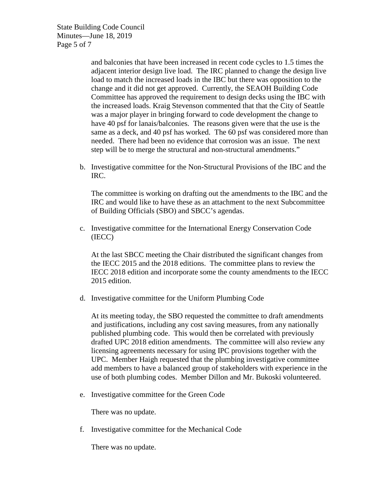State Building Code Council Minutes—June 18, 2019 Page 5 of 7

> and balconies that have been increased in recent code cycles to 1.5 times the adjacent interior design live load. The IRC planned to change the design live load to match the increased loads in the IBC but there was opposition to the change and it did not get approved. Currently, the SEAOH Building Code Committee has approved the requirement to design decks using the IBC with the increased loads. Kraig Stevenson commented that that the City of Seattle was a major player in bringing forward to code development the change to have 40 psf for lanais/balconies. The reasons given were that the use is the same as a deck, and 40 psf has worked. The 60 psf was considered more than needed. There had been no evidence that corrosion was an issue. The next step will be to merge the structural and non-structural amendments."

b. Investigative committee for the Non-Structural Provisions of the IBC and the IRC.

The committee is working on drafting out the amendments to the IBC and the IRC and would like to have these as an attachment to the next Subcommittee of Building Officials (SBO) and SBCC's agendas.

c. Investigative committee for the International Energy Conservation Code (IECC)

At the last SBCC meeting the Chair distributed the significant changes from the IECC 2015 and the 2018 editions. The committee plans to review the IECC 2018 edition and incorporate some the county amendments to the IECC 2015 edition.

d. Investigative committee for the Uniform Plumbing Code

At its meeting today, the SBO requested the committee to draft amendments and justifications, including any cost saving measures, from any nationally published plumbing code. This would then be correlated with previously drafted UPC 2018 edition amendments. The committee will also review any licensing agreements necessary for using IPC provisions together with the UPC. Member Haigh requested that the plumbing investigative committee add members to have a balanced group of stakeholders with experience in the use of both plumbing codes. Member Dillon and Mr. Bukoski volunteered.

e. Investigative committee for the Green Code

There was no update.

f. Investigative committee for the Mechanical Code

There was no update.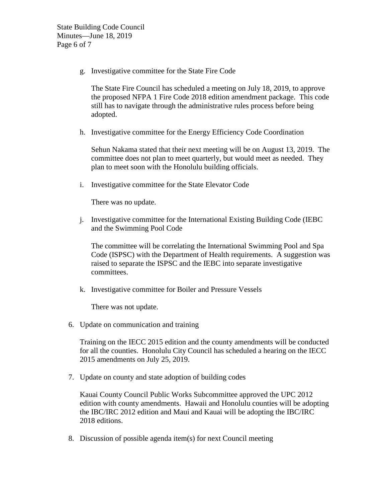g. Investigative committee for the State Fire Code

The State Fire Council has scheduled a meeting on July 18, 2019, to approve the proposed NFPA 1 Fire Code 2018 edition amendment package. This code still has to navigate through the administrative rules process before being adopted.

h. Investigative committee for the Energy Efficiency Code Coordination

Sehun Nakama stated that their next meeting will be on August 13, 2019. The committee does not plan to meet quarterly, but would meet as needed. They plan to meet soon with the Honolulu building officials.

i. Investigative committee for the State Elevator Code

There was no update.

j. Investigative committee for the International Existing Building Code (IEBC and the Swimming Pool Code

The committee will be correlating the International Swimming Pool and Spa Code (ISPSC) with the Department of Health requirements. A suggestion was raised to separate the ISPSC and the IEBC into separate investigative committees.

k. Investigative committee for Boiler and Pressure Vessels

There was not update.

6. Update on communication and training

Training on the IECC 2015 edition and the county amendments will be conducted for all the counties. Honolulu City Council has scheduled a hearing on the IECC 2015 amendments on July 25, 2019.

7. Update on county and state adoption of building codes

Kauai County Council Public Works Subcommittee approved the UPC 2012 edition with county amendments. Hawaii and Honolulu counties will be adopting the IBC/IRC 2012 edition and Maui and Kauai will be adopting the IBC/IRC 2018 editions.

8. Discussion of possible agenda item(s) for next Council meeting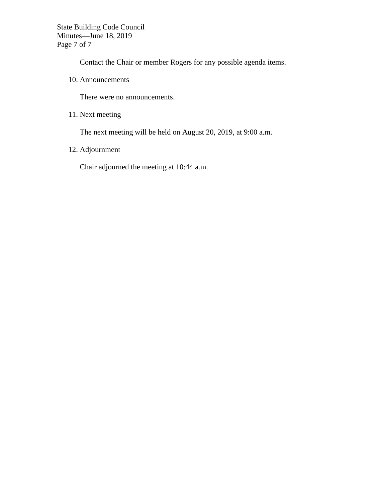State Building Code Council Minutes—June 18, 2019 Page 7 of 7

Contact the Chair or member Rogers for any possible agenda items.

10. Announcements

There were no announcements.

11. Next meeting

The next meeting will be held on August 20, 2019, at 9:00 a.m.

12. Adjournment

Chair adjourned the meeting at 10:44 a.m.